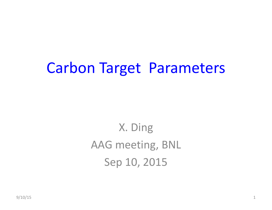## Carbon Target Parameters

X. Ding AAG meeting, BNL Sep 10, 2015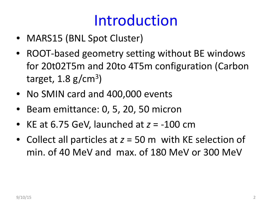## Introduction

- MARS15 (BNL Spot Cluster)
- ROOT‐based geometry setting without BE windows for 20t02T5m and 20to 4T5m configuration (Carbon target,  $1.8$  g/cm<sup>3</sup>)
- No SMIN card and 400,000 events
- •• Beam emittance: 0, 5, 20, 50 micron
- KE at 6.75 GeV, launched at *<sup>z</sup>* <sup>=</sup> ‐100 cm
- Collect all particles at *<sup>z</sup>* <sup>=</sup> 50 <sup>m</sup> with KE selection of min. of 40 MeV and max. of 180 MeV or 300 MeV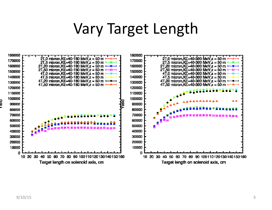#### Vary Target Length

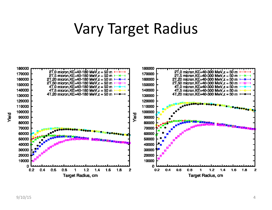#### Vary Target Radius

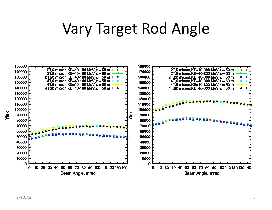## Vary Target Rod Angle

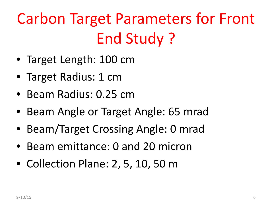# Carbon Target Parameters for Front End Study ?

- Target Length: 100 cm
- Target Radius: 1 cm
- Beam Radius: 0.25 cm
- Beam Angle or Target Angle: 65 mrad
- Beam/Target Crossing Angle: 0 mrad
- Beam emittance: 0 and 20 micron
- Collection Plane: 2, 5, 10, 50 <sup>m</sup>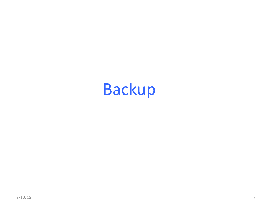# Backup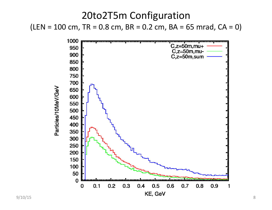



Particles/10MeV/GeV